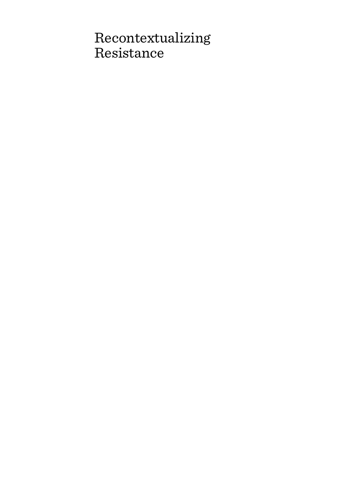# Recontextualizing Resistance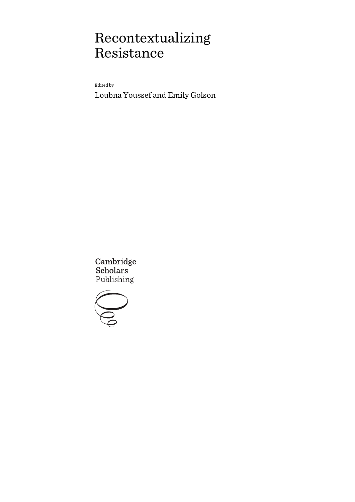# Recontextualizing Resistance

Edited by

Loubna Youssef and Emily Golson

Cambridge **Scholars** Publishing

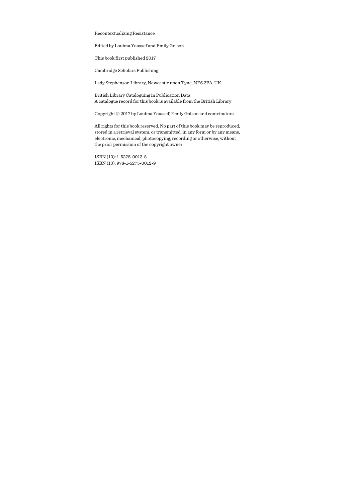Recontextualizing Resistance

Edited by Loubna Youssef and Emily Golson

This book first published 2017

Cambridge Scholars Publishing

Lady Stephenson Library, Newcastle upon Tyne, NE6 2PA, UK

British Library Cataloguing in Publication Data A catalogue record for this book is available from the British Library

Copyright © 2017 by Loubna Youssef, Emily Golson and contributors

All rights for this book reserved. No part of this book may be reproduced, stored in a retrieval system, or transmitted, in any form or by any means, electronic, mechanical, photocopying, recording or otherwise, without the prior permission of the copyright owner.

ISBN (10): 1-5275-0012-8 ISBN (13): 978-1-5275-0012-9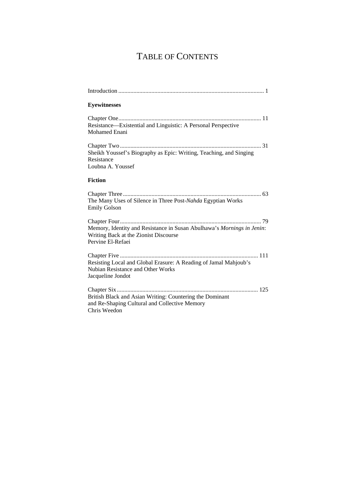## TABLE OF CONTENTS

| <b>Eyewitnesses</b>                                                                                                                  |
|--------------------------------------------------------------------------------------------------------------------------------------|
| Resistance—Existential and Linguistic: A Personal Perspective<br>Mohamed Enani                                                       |
| Sheikh Youssef's Biography as Epic: Writing, Teaching, and Singing<br>Resistance<br>Loubna A. Youssef                                |
| <b>Fiction</b>                                                                                                                       |
| The Many Uses of Silence in Three Post-Nahda Egyptian Works<br><b>Emily Golson</b>                                                   |
| Memory, Identity and Resistance in Susan Abulhawa's Mornings in Jenin:<br>Writing Back at the Zionist Discourse<br>Pervine El-Refaei |
| Resisting Local and Global Erasure: A Reading of Jamal Mahjoub's<br>Nubian Resistance and Other Works<br>Jacqueline Jondot           |
| British Black and Asian Writing: Countering the Dominant<br>and Re-Shaping Cultural and Collective Memory<br>Chris Weedon            |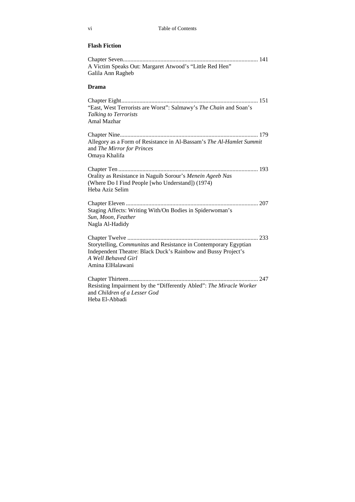## **Flash Fiction**

| A Victim Speaks Out: Margaret Atwood's "Little Red Hen"<br>Galila Ann Ragheb                                                                                                 |
|------------------------------------------------------------------------------------------------------------------------------------------------------------------------------|
| Drama                                                                                                                                                                        |
| "East, West Terrorists are Worst": Salmawy's The Chain and Soan's<br><b>Talking to Terrorists</b><br>Amal Mazhar                                                             |
| Allegory as a Form of Resistance in Al-Bassam's The Al-Hamlet Summit<br>and The Mirror for Princes<br>Omaya Khalifa                                                          |
| Orality as Resistance in Naguib Sorour's Menein Ageeb Nas<br>(Where Do I Find People [who Understand]) (1974)<br>Heba Aziz Selim                                             |
| Staging Affects: Writing With/On Bodies in Spiderwoman's<br>Sun, Moon, Feather<br>Nagla Al-Hadidy                                                                            |
| Storytelling, Communitas and Resistance in Contemporary Egyptian<br>Independent Theatre: Black Duck's Rainbow and Bussy Project's<br>A Well Behaved Girl<br>Amina ElHalawani |
| Resisting Impairment by the "Differently Abled": The Miracle Worker<br>and Children of a Lesser God<br>Heba El-Abbadi                                                        |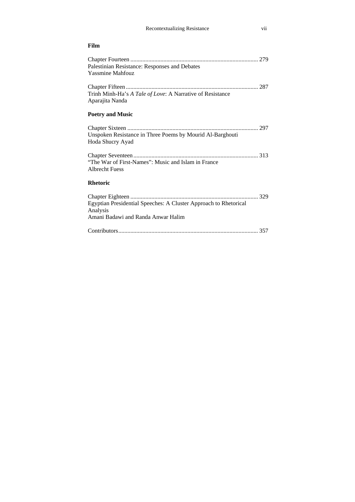### **Film**

| Palestinian Resistance: Responses and Debates<br><b>Yassmine Mahfouz</b>                                           |
|--------------------------------------------------------------------------------------------------------------------|
| Trinh Minh-Ha's A Tale of Love: A Narrative of Resistance<br>Aparajita Nanda                                       |
| <b>Poetry and Music</b>                                                                                            |
| Unspoken Resistance in Three Poems by Mourid Al-Barghouti<br>Hoda Shucry Ayad                                      |
| "The War of First-Names": Music and Islam in France<br><b>Albrecht Fuess</b>                                       |
| <b>Rhetoric</b>                                                                                                    |
| Egyptian Presidential Speeches: A Cluster Approach to Rhetorical<br>Analysis<br>Amani Badawi and Randa Anwar Halim |
|                                                                                                                    |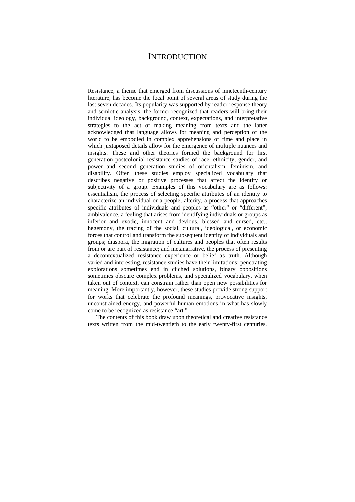## **INTRODUCTION**

Resistance, a theme that emerged from discussions of nineteenth-century literature, has become the focal point of several areas of study during the last seven decades. Its popularity was supported by reader-response theory and semiotic analysis: the former recognized that readers will bring their individual ideology, background, context, expectations, and interpretative strategies to the act of making meaning from texts and the latter acknowledged that language allows for meaning and perception of the world to be embodied in complex apprehensions of time and place in which juxtaposed details allow for the emergence of multiple nuances and insights. These and other theories formed the background for first generation postcolonial resistance studies of race, ethnicity, gender, and power and second generation studies of orientalism, feminism, and disability. Often these studies employ specialized vocabulary that describes negative or positive processes that affect the identity or subjectivity of a group. Examples of this vocabulary are as follows: essentialism, the process of selecting specific attributes of an identity to characterize an individual or a people; alterity, a process that approaches specific attributes of individuals and peoples as "other" or "different"; ambivalence, a feeling that arises from identifying individuals or groups as inferior and exotic, innocent and devious, blessed and cursed, etc.; hegemony, the tracing of the social, cultural, ideological, or economic forces that control and transform the subsequent identity of individuals and groups; diaspora, the migration of cultures and peoples that often results from or are part of resistance; and metanarrative, the process of presenting a decontextualized resistance experience or belief as truth. Although varied and interesting, resistance studies have their limitations: penetrating explorations sometimes end in clichéd solutions, binary oppositions sometimes obscure complex problems, and specialized vocabulary, when taken out of context, can constrain rather than open new possibilities for meaning. More importantly, however, these studies provide strong support for works that celebrate the profound meanings, provocative insights, unconstrained energy, and powerful human emotions in what has slowly come to be recognized as resistance "art."

The contents of this book draw upon theoretical and creative resistance texts written from the mid-twentieth to the early twenty-first centuries.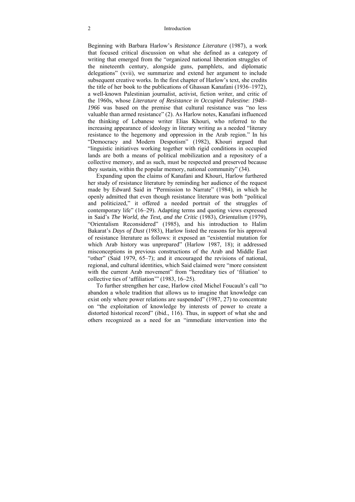#### 2 Introduction

Beginning with Barbara Harlow's *Resistance Literature* (1987), a work that focused critical discussion on what she defined as a category of writing that emerged from the "organized national liberation struggles of the nineteenth century, alongside guns, pamphlets, and diplomatic delegations" (xvii), we summarize and extend her argument to include subsequent creative works. In the first chapter of Harlow's text, she credits the title of her book to the publications of Ghassan Kanafani (1936–1972), a well-known Palestinian journalist, activist, fiction writer, and critic of the 1960s, whose *Literature of Resistance in Occupied Palestine*: *1948– 1966* was based on the premise that cultural resistance was "no less valuable than armed resistance" (2). As Harlow notes, Kanafani influenced the thinking of Lebanese writer Elias Khouri, who referred to the increasing appearance of ideology in literary writing as a needed "literary resistance to the hegemony and oppression in the Arab region." In his "Democracy and Modern Despotism" (1982), Khouri argued that "linguistic initiatives working together with rigid conditions in occupied lands are both a means of political mobilization and a repository of a collective memory, and as such, must be respected and preserved because they sustain, within the popular memory, national community" (34).

Expanding upon the claims of Kanafani and Khouri, Harlow furthered her study of resistance literature by reminding her audience of the request made by Edward Said in "Permission to Narrate" (1984), in which he openly admitted that even though resistance literature was both "political and politicized," it offered a needed portrait of the struggles of contemporary life" (16–29). Adapting terms and quoting views expressed in Said's *The World, the Text, and the Critic* (1983), *Orientalism* (1979), "Orientalism Reconsidered" (1985), and his introduction to Halim Bakarat's *Days of Dust* (1983), Harlow listed the reasons for his approval of resistance literature as follows: it exposed an "existential mutation for which Arab history was unprepared" (Harlow 1987, 18); it addressed misconceptions in previous constructions of the Arab and Middle East "other" (Said 1979, 65–7); and it encouraged the revisions of national, regional, and cultural identities, which Said claimed were "more consistent with the current Arab movement" from "hereditary ties of 'filiation' to collective ties of 'affiliation'" (1983, 16–25).

To further strengthen her case, Harlow cited Michel Foucault's call "to abandon a whole tradition that allows us to imagine that knowledge can exist only where power relations are suspended" (1987, 27) to concentrate on "the exploitation of knowledge by interests of power to create a distorted historical record" (ibid., 116). Thus, in support of what she and others recognized as a need for an "immediate intervention into the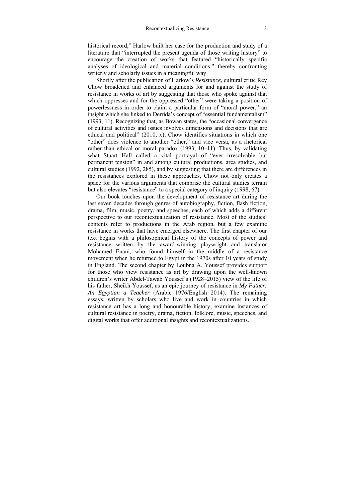historical record," Harlow built her case for the production and study of a literature that "interrupted the present agenda of those writing history" to encourage the creation of works that featured "historically specific analyses of ideological and material conditions," thereby confronting writerly and scholarly issues in a meaningful way.

Shortly after the publication of Harlow's *Resistance*, cultural critic Rey Chow broadened and enhanced arguments for and against the study of resistance in works of art by suggesting that those who spoke against that which oppresses and for the oppressed "other" were taking a position of powerlessness in order to claim a particular form of "moral power," an insight which she linked to Derrida's concept of "essential fundamentalism" (1993, 11). Recognizing that, as Bowan states, the "occasional convergence of cultural activities and issues involves dimensions and decisions that are ethical and political" (2010, x), Chow identifies situations in which one "other" does violence to another "other," and vice versa, as a rhetorical rather than ethical or moral paradox (1993, 10–11). Thus, by validating what Stuart Hall called a vital portrayal of "ever irresolvable but permanent tension" in and among cultural productions, area studies, and cultural studies (1992, 285), and by suggesting that there are differences in the resistances explored in these approaches, Chow not only creates a space for the various arguments that comprise the cultural studies terrain but also elevates "resistance" to a special category of inquiry (1998, 67).

Our book touches upon the development of resistance art during the last seven decades through genres of autobiography, fiction, flash fiction, drama, film, music, poetry, and speeches, each of which adds a different perspective to our recontextualization of resistance. Most of the studies' contents refer to productions in the Arab region, but a few examine resistance in works that have emerged elsewhere. The first chapter of our text begins with a philosophical history of the concepts of power and resistance written by the award-winning playwright and translator Mohamed Enani, who found himself in the middle of a resistance movement when he returned to Egypt in the 1970s after 10 years of study in England. The second chapter by Loubna A. Youssef provides support for those who view resistance as art by drawing upon the well-known children's writer Abdel-Tawab Youssef's (1928–2015) view of the life of his father, Sheikh Youssef, as an epic journey of resistance in *My Father: An Egyptian a Teacher* (Arabic 1976/English 2014). The remaining essays, written by scholars who live and work in countries in which resistance art has a long and honourable history, examine instances of cultural resistance in poetry, drama, fiction, folklore, music, speeches, and digital works that offer additional insights and recontextualizations.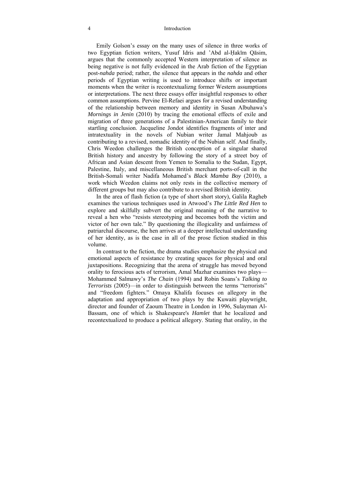#### 4 Introduction

Emily Golson's essay on the many uses of silence in three works of two Egyptian fiction writers, Yusuf Idris and 'Abd al-Ḥakīm Qāsim, argues that the commonly accepted Western interpretation of silence as being negative is not fully evidenced in the Arab fiction of the Egyptian post-*nahda* period; rather, the silence that appears in the *nahda* and other periods of Egyptian writing is used to introduce shifts or important moments when the writer is recontextualizng former Western assumptions or interpretations. The next three essays offer insightful responses to other common assumptions. Pervine El-Refaei argues for a revised understanding of the relationship between memory and identity in Susan Albuhawa's *Mornings in Jenin* (2010) by tracing the emotional effects of exile and migration of three generations of a Palestinian-American family to their startling conclusion. Jacqueline Jondot identifies fragments of inter and intratextuality in the novels of Nubian writer Jamal Mahjoub as contributing to a revised, nomadic identity of the Nubian self. And finally, Chris Weedon challenges the British conception of a singular shared British history and ancestry by following the story of a street boy of African and Asian descent from Yemen to Somalia to the Sudan, Egypt, Palestine, Italy, and miscellaneous British merchant ports-of-call in the British-Somali writer Nadifa Mohamed's *Black Mamba Boy* (2010), a work which Weedon claims not only rests in the collective memory of different groups but may also contribute to a revised British identity.

In the area of flash fiction (a type of short short story), Galila Ragheb examines the various techniques used in Atwood's *The Little Red Hen* to explore and skilfully subvert the original meaning of the narrative to reveal a hen who "resists stereotyping and becomes both the victim and victor of her own tale." By questioning the illogicality and unfairness of patriarchal discourse, the hen arrives at a deeper intellectual understanding of her identity, as is the case in all of the prose fiction studied in this volume.

In contrast to the fiction, the drama studies emphasize the physical and emotional aspects of resistance by creating spaces for physical and oral juxtapositions. Recognizing that the arena of struggle has moved beyond orality to ferocious acts of terrorism, Amal Mazhar examines two plays— Mohammed Salmawy's *The Chain* (1994) and Robin Soans's *Talking to Terrorists* (2005)—in order to distinguish between the terms "terrorists" and "freedom fighters." Omaya Khalifa focuses on allegory in the adaptation and appropriation of two plays by the Kuwaiti playwright, director and founder of Zaoum Theatre in London in 1996, Sulayman Al-Bassam, one of which is Shakespeare's *Hamlet* that he localized and recontextualized to produce a political allegory. Stating that orality, in the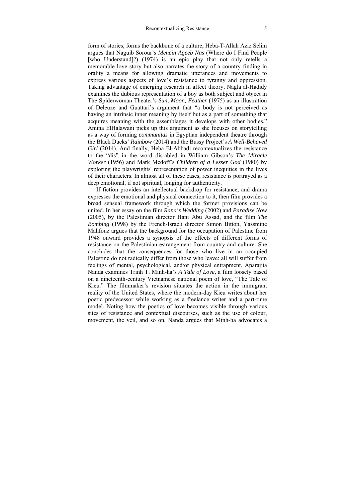form of stories, forms the backbone of a culture, Heba-T-Allah Aziz Selim argues that Naguib Sorour's *Menein Ageeb Nas* (Where do I Find People [who Understand]?) (1974) is an epic play that not only retells a memorable love story but also narrates the story of a country finding in orality a means for allowing dramatic utterances and movements to express various aspects of love's resistance to tyranny and oppression. Taking advantage of emerging research in affect theory, Nagla al-Hadidy examines the dubious representation of a boy as both subject and object in The Spiderwoman Theater's *Sun, Moon, Feather* (1975) as an illustration of Deleuze and Guattari's argument that "a body is not perceived as having an intrinsic inner meaning by itself but as a part of something that acquires meaning with the assemblages it develops with other bodies." Amina ElHalawani picks up this argument as she focuses on storytelling as a way of forming *communitas* in Egyptian independent theatre through the Black Ducks' *Rainbow* (2014) and the Bussy Project's *A Well-Behaved Girl* (2014). And finally, Heba El-Abbadi recontextualizes the resistance to the "dis" in the word dis-abled in William Gibson's *The Miracle Worker* (1956) and Mark Medoff's *Children of a Lesser God* (1980) by exploring the playwrights' representation of power inequities in the lives of their characters. In almost all of these cases, resistance is portrayed as a deep emotional, if not spiritual, longing for authenticity.

If fiction provides an intellectual backdrop for resistance, and drama expresses the emotional and physical connection to it, then film provides a broad sensual framework through which the former provisions can be united. In her essay on the film *Rana's Wedding* (2002) and *Paradise Now*  (2005), by the Palestinian director Hani Abu Assad, and the film *The Bombing* (1998) by the French-Israeli director Simon Bitton, Yassmine Mahfouz argues that the background for the occupation of Palestine from 1948 onward provides a synopsis of the effects of different forms of resistance on the Palestinian estrangement from country and culture. She concludes that the consequences for those who live in an occupied Palestine do not radically differ from those who leave: all will suffer from feelings of mental, psychological, and/or physical entrapment. Aparajita Nanda examines Trinh T. Minh-ha's *A Tale of Love*, a film loosely based on a nineteenth-century Vietnamese national poem of love, "The Tale of Kieu." The filmmaker's revision situates the action in the immigrant reality of the United States, where the modern-day Kieu writes about her poetic predecessor while working as a freelance writer and a part-time model. Noting how the poetics of love becomes visible through various sites of resistance and contextual discourses, such as the use of colour, movement, the veil, and so on, Nanda argues that Minh-ha advocates a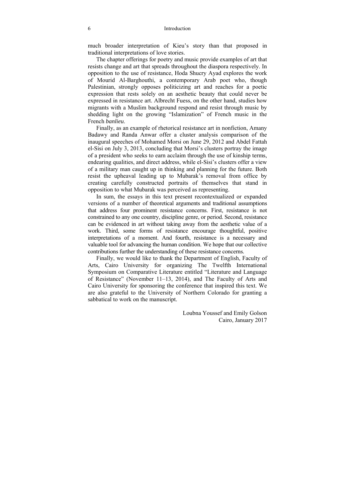much broader interpretation of Kieu's story than that proposed in traditional interpretations of love stories.

The chapter offerings for poetry and music provide examples of art that resists change and art that spreads throughout the diaspora respectively. In opposition to the use of resistance, Hoda Shucry Ayad explores the work of Mourid Al-Barghouthi, a contemporary Arab poet who, though Palestinian, strongly opposes politicizing art and reaches for a poetic expression that rests solely on an aesthetic beauty that could never be expressed in resistance art. Albrecht Fuess, on the other hand, studies how migrants with a Muslim background respond and resist through music by shedding light on the growing "Islamization" of French music in the French *banlieu*.

Finally, as an example of rhetorical resistance art in nonfiction, Amany Badawy and Randa Anwar offer a cluster analysis comparison of the inaugural speeches of Mohamed Morsi on June 29, 2012 and Abdel Fattah el-Sisi on July 3, 2013, concluding that Morsi's clusters portray the image of a president who seeks to earn acclaim through the use of kinship terms, endearing qualities, and direct address, while el-Sisi's clusters offer a view of a military man caught up in thinking and planning for the future. Both resist the upheaval leading up to Mubarak's removal from office by creating carefully constructed portraits of themselves that stand in opposition to what Mubarak was perceived as representing.

In sum, the essays in this text present recontextualized or expanded versions of a number of theoretical arguments and traditional assumptions that address four prominent resistance concerns. First, resistance is not constrained to any one country, discipline genre, or period. Second, resistance can be evidenced in art without taking away from the aesthetic value of a work. Third, some forms of resistance encourage thoughtful, positive interpretations of a moment. And fourth, resistance is a necessary and valuable tool for advancing the human condition. We hope that our collective contributions further the understanding of these resistance concerns.

Finally, we would like to thank the Department of English, Faculty of Arts, Cairo University for organizing The Twelfth International Symposium on Comparative Literature entitled "Literature and Language of Resistance" (November 11–13, 2014), and The Faculty of Arts and Cairo University for sponsoring the conference that inspired this text. We are also grateful to the University of Northern Colorado for granting a sabbatical to work on the manuscript.

> Loubna Youssef and Emily Golson Cairo, January 2017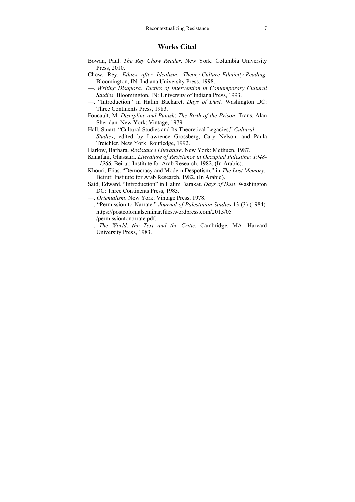### **Works Cited**

- Bowan, Paul. *The Rey Chow Reader*. New York: Columbia University Press, 2010.
- Chow, Rey. *Ethics after Idealism: Theory-Culture-Ethnicity-Reading.*  Bloomington, IN: Indiana University Press, 1998.
- —. *Writing Disapora: Tactics of Intervention in Contemporary Cultural Studies.* Bloomington, IN: University of Indiana Press, 1993.
- —. "Introduction" in Halim Backaret, *Days of Dust.* Washington DC: Three Continents Press, 1983.
- Foucault, M. *Discipline and Punish*: *The Birth of the Prison*. Trans. Alan Sheridan. New York: Vintage, 1979.
- Hall, Stuart. "Cultural Studies and Its Theoretical Legacies," *Cultural Studies*, edited by Lawrence Grossberg, Cary Nelson, and Paula Treichler. New York: Routledge, 1992.
- Harlow, Barbara. *Resistance Literature*. New York: Methuen, 1987.
- Kanafani, Ghassam. *Literature of Resistance in Occupied Palestine: 1948- –1966.* Beirut: Institute for Arab Research, 1982. (In Arabic).
- Khouri, Elias. "Democracy and Modern Despotism," in *The Lost Memory*. Beirut: Institute for Arab Research, 1982. (In Arabic).
- Said, Edward. "Introduction" in Halim Barakat. *Days of Dust*. Washington DC: Three Continents Press, 1983.
- —. *Orientalism*. New York: Vintage Press, 1978.
- —. "Permission to Narrate." *Journal of Palestinian Studies* 13 (3) (1984). https://postcolonialseminar.files.wordpress.com/2013/05 /permissiontonarrate.pdf.
- —. *The World, the Text and the Critic.* Cambridge, MA: Harvard University Press, 1983.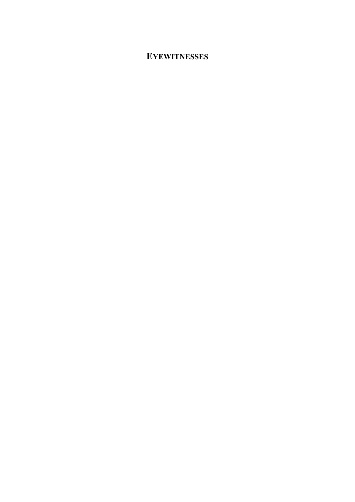## **EYEWITNESSES**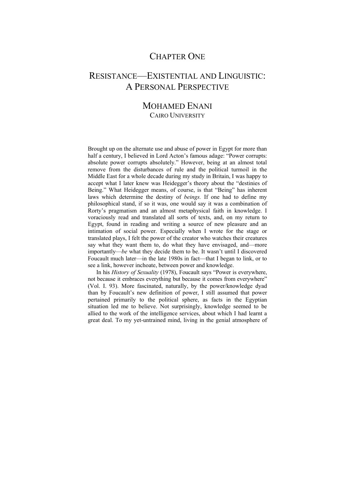## CHAPTER ONE

## RESISTANCE—EXISTENTIAL AND LINGUISTIC: A PERSONAL PERSPECTIVE

## MOHAMED ENANI CAIRO UNIVERSITY

Brought up on the alternate use and abuse of power in Egypt for more than half a century, I believed in Lord Acton's famous adage: "Power corrupts: absolute power corrupts absolutely." However, being at an almost total remove from the disturbances of rule and the political turmoil in the Middle East for a whole decade during my study in Britain, I was happy to accept what I later knew was Heidegger's theory about the "destinies of Being." What Heidegger means, of course, is that "Being" has inherent laws which determine the destiny of *beings.* If one had to define my philosophical stand, if so it was, one would say it was a combination of Rorty's pragmatism and an almost metaphysical faith in knowledge. I voraciously read and translated all sorts of texts, and, on my return to Egypt, found in reading and writing a source of new pleasure and an intimation of social power. Especially when I wrote for the stage or translated plays, I felt the power of the creator who watches their creatures say what they want them to, do what they have envisaged, and—more importantly—*be* what they decide them to be. It wasn't until I discovered Foucault much later—in the late 1980s in fact—that I began to link, or to see a link, however inchoate, between power and knowledge.

In his *History of Sexuality* (1978), Foucault says "Power is everywhere, not because it embraces everything but because it comes from everywhere" (Vol. I. 93). More fascinated, naturally, by the power/knowledge dyad than by Foucault's new definition of power, I still assumed that power pertained primarily to the political sphere, as facts in the Egyptian situation led me to believe. Not surprisingly, knowledge seemed to be allied to the work of the intelligence services, about which I had learnt a great deal. To my yet-untrained mind, living in the genial atmosphere of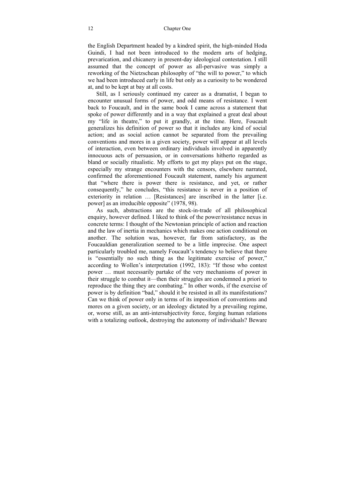the English Department headed by a kindred spirit, the high-minded Hoda Guindi, I had not been introduced to the modern arts of hedging, prevarication, and chicanery in present-day ideological contestation. I still assumed that the concept of power as all-pervasive was simply a reworking of the Nietzschean philosophy of "the will to power," to which we had been introduced early in life but only as a curiosity to be wondered at, and to be kept at bay at all costs.

Still, as I seriously continued my career as a dramatist, I began to encounter unusual forms of power, and odd means of resistance. I went back to Foucault, and in the same book I came across a statement that spoke of power differently and in a way that explained a great deal about my "life in theatre," to put it grandly, at the time. Here, Foucault generalizes his definition of power so that it includes any kind of social action; and as social action cannot be separated from the prevailing conventions and mores in a given society, power will appear at all levels of interaction, even between ordinary individuals involved in apparently innocuous acts of persuasion, or in conversations hitherto regarded as bland or socially ritualistic. My efforts to get my plays put on the stage, especially my strange encounters with the censors, elsewhere narrated, confirmed the aforementioned Foucault statement, namely his argument that "where there is power there is resistance, and yet, or rather consequently," he concludes, "this resistance is never in a position of exteriority in relation ... [Resistances] are inscribed in the latter [i.e.] power] as an irreducible opposite" (1978, 98).

As such, abstractions are the stock-in-trade of all philosophical enquiry, however defined. I liked to think of the power/resistance nexus in concrete terms: I thought of the Newtonian principle of action and reaction and the law of inertia in mechanics which makes one action conditional on another. The solution was, however, far from satisfactory, as the Foucauldian generalization seemed to be a little imprecise. One aspect particularly troubled me, namely Foucault's tendency to believe that there is "essentially no such thing as the legitimate exercise of power," according to Wollen's interpretation (1992, 183): "If those who contest power … must necessarily partake of the very mechanisms of power in their struggle to combat it—then their struggles are condemned a priori to reproduce the thing they are combating." In other words, if the exercise of power is by definition "bad," should it be resisted in all its manifestations? Can we think of power only in terms of its imposition of conventions and mores on a given society, or an ideology dictated by a prevailing regime, or, worse still, as an anti-intersubjectivity force, forging human relations with a totalizing outlook, destroying the autonomy of individuals? Beware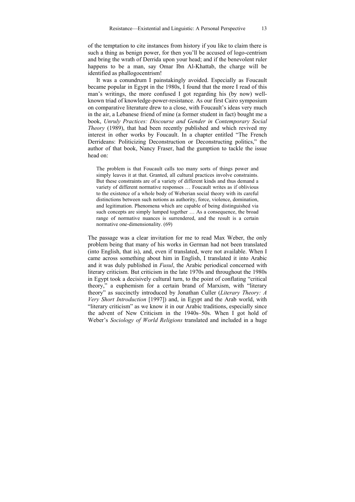of the temptation to cite instances from history if you like to claim there is such a thing as benign power, for then you'll be accused of logo-centrism and bring the wrath of Derrida upon your head; and if the benevolent ruler happens to be a man, say Omar Ibn Al-Khattab, the charge will be identified as phallogocentrism!

It was a conundrum I painstakingly avoided. Especially as Foucault became popular in Egypt in the 1980s, I found that the more I read of this man's writings, the more confused I got regarding his (by now) wellknown triad of knowledge-power-resistance. As our first Cairo symposium on comparative literature drew to a close, with Foucault's ideas very much in the air, a Lebanese friend of mine (a former student in fact) bought me a book, *Unruly Practices: Discourse and Gender in Contemporary Social Theory* (1989), that had been recently published and which revived my interest in other works by Foucault. In a chapter entitled "The French Derrideans: Politicizing Deconstruction or Deconstructing politics," the author of that book, Nancy Fraser, had the gumption to tackle the issue head on:

The problem is that Foucault calls too many sorts of things power and simply leaves it at that. Granted, all cultural practices involve constraints. But these constraints are of a variety of different kinds and thus demand a variety of different normative responses … Foucault writes as if oblivious to the existence of a whole body of Weberian social theory with its careful distinctions between such notions as authority, force, violence, domination, and legitimation. Phenomena which are capable of being distinguished via such concepts are simply lumped together … As a consequence, the broad range of normative nuances is surrendered, and the result is a certain normative one-dimensionality. (69)

The passage was a clear invitation for me to read Max Weber, the only problem being that many of his works in German had not been translated (into English, that is), and, even if translated, were not available. When I came across something about him in English, I translated it into Arabic and it was duly published in *Fusul*, the Arabic periodical concerned with literary criticism. But criticism in the late 1970s and throughout the 1980s in Egypt took a decisively cultural turn, to the point of conflating "critical theory," a euphemism for a certain brand of Marxism, with "literary theory" as succinctly introduced by Jonathan Culler (*Literary Theory: A Very Short Introduction* [1997]) and, in Egypt and the Arab world, with "literary criticism" as we know it in our Arabic traditions, especially since the advent of New Criticism in the 1940s–50s. When I got hold of Weber's *Sociology of World Religions* translated and included in a huge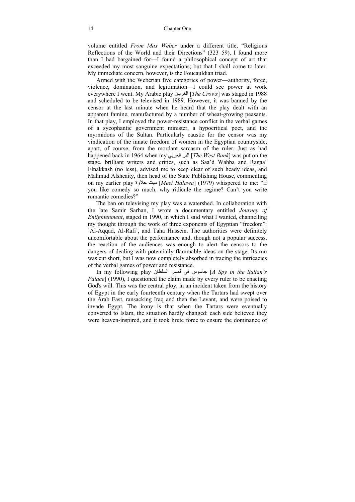volume entitled *From Max Weber* under a different title, "Religious Reflections of the World and their Directions" (323–59), I found more than I had bargained for—I found a philosophical concept of art that exceeded my most sanguine expectations; but that I shall come to later. My immediate concern, however, is the Foucauldian triad.

Armed with the Weberian five categories of power—authority, force, violence, domination, and legitimation—I could see power at work everywhere I went. My Arabic play الغربان] *The Crows*] was staged in 1988 and scheduled to be televised in 1989. However, it was banned by the censor at the last minute when he heard that the play dealt with an apparent famine, manufactured by a number of wheat-growing peasants. In that play, I employed the power-resistance conflict in the verbal games of a sycophantic government minister, a hypocritical poet, and the myrmidons of the Sultan. Particularly caustic for the censor was my vindication of the innate freedom of women in the Egyptian countryside, apart, of course, from the mordant sarcasm of the ruler. Just as had happened back in 1964 when my الغربي البر] *The West Bank*] was put on the stage, brilliant writers and critics, such as Saa'd Wahba and Ragaa' Elnakkash (no less), advised me to keep clear of such heady ideas, and Mahmud Alsheaity, then head of the State Publishing House, commenting on my earlier play حالوة ميت] *Meet Halawa*] (1979) whispered to me: "if you like comedy so much, why ridicule the regime? Can't you write romantic comedies?"

The ban on televising my play was a watershed. In collaboration with the late Samir Sarhan, I wrote a documentary entitled *Journey of Enlightenment*, staged in 1990, in which I said what I wanted, channelling my thought through the work of three exponents of Egyptian "freedom": 'Al-Aqqad, Al-Rafi', and Taha Hussein. The authorities were definitely uncomfortable about the performance and, though not a popular success, the reaction of the audiences was enough to alert the censors to the dangers of dealing with potentially flammable ideas on the stage. Its run was cut short, but I was now completely absorbed in tracing the intricacies of the verbal games of power and resistance.

In my following play السلطان قصر في جاسوس] *A Spy in the Sultan's Palace*] (1990), I questioned the claim made by every ruler to be enacting God's will. This was the central ploy, in an incident taken from the history of Egypt in the early fourteenth century when the Tartars had swept over the Arab East, ransacking Iraq and then the Levant, and were poised to invade Egypt. The irony is that when the Tartars were eventually converted to Islam, the situation hardly changed: each side believed they were heaven-inspired, and it took brute force to ensure the dominance of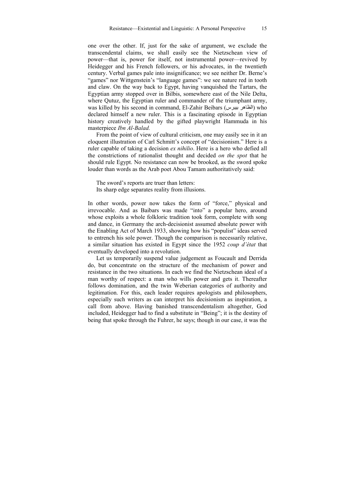one over the other. If, just for the sake of argument, we exclude the transcendental claims, we shall easily see the Nietzschean view of power—that is, power for itself, not instrumental power—revived by Heidegger and his French followers, or his advocates, in the twentieth century. Verbal games pale into insignificance; we see neither Dr. Berne's "games" nor Wittgenstein's "language games": we see nature red in tooth and claw. On the way back to Egypt, having vanquished the Tartars, the Egyptian army stopped over in Bilbis, somewhere east of the Nile Delta, where Outuz, the Egyptian ruler and commander of the triumphant army, was killed by his second in command, El-Zahir Beibars (بيبرس الظاھر (who declared himself a new ruler. This is a fascinating episode in Egyptian history creatively handled by the gifted playwright Hammuda in his masterpiece *Ibn Al-Balad.*

From the point of view of cultural criticism, one may easily see in it an eloquent illustration of Carl Schmitt's concept of "decisionism." Here is a ruler capable of taking a decision *ex nihilio*. Here is a hero who defied all the constrictions of rationalist thought and decided *on the spot* that he should rule Egypt. No resistance can now be brooked, as the sword spoke louder than words as the Arab poet Abou Tamam authoritatively said:

The sword's reports are truer than letters: Its sharp edge separates reality from illusions.

In other words, power now takes the form of "force," physical and irrevocable. And as Baibars was made "into" a popular hero, around whose exploits a whole folkloric tradition took form, complete with song and dance, in Germany the arch-decisionist assumed absolute power with the Enabling Act of March 1933, showing how his "populist" ideas served to entrench his sole power. Though the comparison is necessarily relative, a similar situation has existed in Egypt since the 1952 *coup d'état* that eventually developed into a revolution.

Let us temporarily suspend value judgement as Foucault and Derrida do, but concentrate on the structure of the mechanism of power and resistance in the two situations. In each we find the Nietzschean ideal of a man worthy of respect: a man who wills power and gets it. Thereafter follows domination, and the twin Weberian categories of authority and legitimation. For this, each leader requires apologists and philosophers, especially such writers as can interpret his decisionism as inspiration, a call from above. Having banished transcendentalism altogether, God included, Heidegger had to find a substitute in "Being"; it is the destiny of being that spoke through the Fuhrer, he says; though in our case, it was the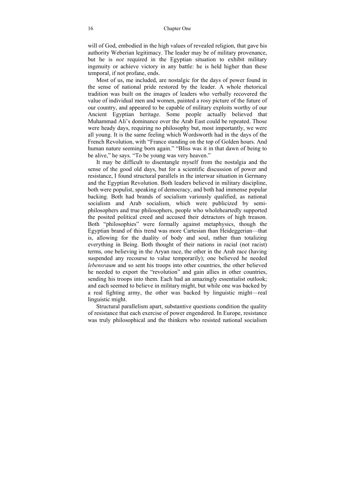will of God, embodied in the high values of revealed religion, that gave his authority Weberian legitimacy. The leader may be of military provenance, but he is *not* required in the Egyptian situation to exhibit military ingenuity or achieve victory in any battle: he is held higher than these temporal, if not profane, ends.

Most of us, me included, are nostalgic for the days of power found in the sense of national pride restored by the leader. A whole rhetorical tradition was built on the images of leaders who verbally recovered the value of individual men and women, painted a rosy picture of the future of our country, and appeared to be capable of military exploits worthy of our Ancient Egyptian heritage. Some people actually believed that Muhammad Ali's dominance over the Arab East could be repeated. Those were heady days, requiring no philosophy but, most importantly, we were all young. It is the same feeling which Wordsworth had in the days of the French Revolution, with "France standing on the top of Golden hours. And human nature seeming born again." "Bliss was it in that dawn of being to be alive," he says. "To be young was very heaven."

It may be difficult to disentangle myself from the nostalgia and the sense of the good old days, but for a scientific discussion of power and resistance, I found structural parallels in the interwar situation in Germany and the Egyptian Revolution. Both leaders believed in military discipline, both were populist, speaking of democracy, and both had immense popular backing. Both had brands of socialism variously qualified, as national socialism and Arab socialism, which were publicized by semiphilosophers and true philosophers, people who wholeheartedly supported the posited political creed and accused their detractors of high treason. Both "philosophies" were formally against metaphysics, though the Egyptian brand of this trend was more Cartesian than Heideggerian—that is, allowing for the duality of body and soul, rather than totalizing everything in Being. Both thought of their nations in racial (not racist) terms, one believing in the Aryan race, the other in the Arab race (having suspended any recourse to value temporarily); one believed he needed *lebensraum* and so sent his troops into other countries, the other believed he needed to export the "revolution" and gain allies in other countries, sending his troops into them. Each had an amazingly essentialist outlook; and each seemed to believe in military might, but while one was backed by a real fighting army, the other was backed by linguistic might—real linguistic might.

Structural parallelism apart, substantive questions condition the quality of resistance that each exercise of power engendered. In Europe, resistance was truly philosophical and the thinkers who resisted national socialism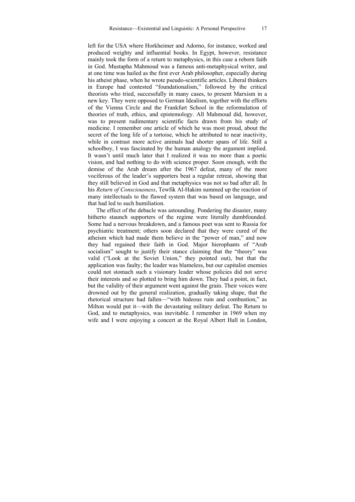left for the USA where Horkheimer and Adorno, for instance, worked and produced weighty and influential books. In Egypt, however, resistance mainly took the form of a return to metaphysics, in this case a reborn faith in God. Mustapha Mahmoud was a famous anti-metaphysical writer, and at one time was hailed as the first ever Arab philosopher, especially during his atheist phase, when he wrote pseudo-scientific articles. Liberal thinkers in Europe had contested "foundationalism," followed by the critical theorists who tried, successfully in many cases, to present Marxism in a new key. They were opposed to German Idealism, together with the efforts of the Vienna Circle and the Frankfurt School in the reformulation of theories of truth, ethics, and epistemology. All Mahmoud did, however, was to present rudimentary scientific facts drawn from his study of medicine. I remember one article of which he was most proud, about the secret of the long life of a tortoise, which he attributed to near inactivity, while in contrast more active animals had shorter spans of life. Still a schoolboy, I was fascinated by the human analogy the argument implied. It wasn't until much later that I realized it was no more than a poetic vision, and had nothing to do with science proper. Soon enough, with the demise of the Arab dream after the 1967 defeat, many of the more vociferous of the leader's supporters beat a regular retreat, showing that they still believed in God and that metaphysics was not so bad after all. In his *Return of Consciousness*, Tewfik Al-Hakim summed up the reaction of many intellectuals to the flawed system that was based on language, and that had led to such humiliation.

The effect of the debacle was astounding. Pondering the disaster, many hitherto staunch supporters of the regime were literally dumbfounded. Some had a nervous breakdown, and a famous poet was sent to Russia for psychiatric treatment; others soon declared that they were cured of the atheism which had made them believe in the "power of man," and now they had regained their faith in God. Major hierophants of "Arab socialism" sought to justify their stance claiming that the "theory" was valid ("Look at the Soviet Union," they pointed out), but that the application was faulty; the leader was blameless, but our capitalist enemies could not stomach such a visionary leader whose policies did not serve their interests and so plotted to bring him down. They had a point, in fact, but the validity of their argument went against the grain. Their voices were drowned out by the general realization, gradually taking shape, that the rhetorical structure had fallen—"with hideous ruin and combustion," as Milton would put it—with the devastating military defeat. The Return to God, and to metaphysics, was inevitable. I remember in 1969 when my wife and I were enjoying a concert at the Royal Albert Hall in London,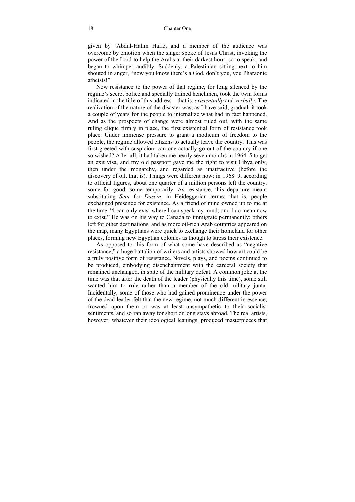given by 'Abdul-Halim Hafiz, and a member of the audience was overcome by emotion when the singer spoke of Jesus Christ, invoking the power of the Lord to help the Arabs at their darkest hour, so to speak, and began to whimper audibly. Suddenly, a Palestinian sitting next to him shouted in anger, "now you know there's a God, don't you, you Pharaonic atheists!"

Now resistance to the power of that regime, for long silenced by the regime's secret police and specially trained henchmen, took the twin forms indicated in the title of this address—that is, *existentially* and *verbally*. The realization of the nature of the disaster was, as I have said, gradual: it took a couple of years for the people to internalize what had in fact happened. And as the prospects of change were almost ruled out, with the same ruling clique firmly in place, the first existential form of resistance took place. Under immense pressure to grant a modicum of freedom to the people, the regime allowed citizens to actually leave the country. This was first greeted with suspicion: can one actually go out of the country if one so wished? After all, it had taken me nearly seven months in 1964–5 to get an exit visa, and my old passport gave me the right to visit Libya only, then under the monarchy, and regarded as unattractive (before the discovery of oil, that is). Things were different now: in 1968–9, according to official figures, about one quarter of a million persons left the country, some for good, some temporarily. As resistance, this departure meant substituting *Sein* for *Dasein*, in Heideggerian terms; that is, people exchanged presence for existence. As a friend of mine owned up to me at the time, "I can only exist where I can speak my mind; and I do mean now to exist." He was on his way to Canada to immigrate permanently; others left for other destinations, and as more oil-rich Arab countries appeared on the map, many Egyptians were quick to exchange their homeland for other places, forming new Egyptian colonies as though to stress their existence.

As opposed to this form of what some have described as "negative resistance," a huge battalion of writers and artists showed how art could be a truly positive form of resistance. Novels, plays, and poems continued to be produced, embodying disenchantment with the carceral society that remained unchanged, in spite of the military defeat. A common joke at the time was that after the death of the leader (physically this time), some still wanted him to rule rather than a member of the old military junta. Incidentally, some of those who had gained prominence under the power of the dead leader felt that the new regime, not much different in essence, frowned upon them or was at least unsympathetic to their socialist sentiments, and so ran away for short or long stays abroad. The real artists, however, whatever their ideological leanings, produced masterpieces that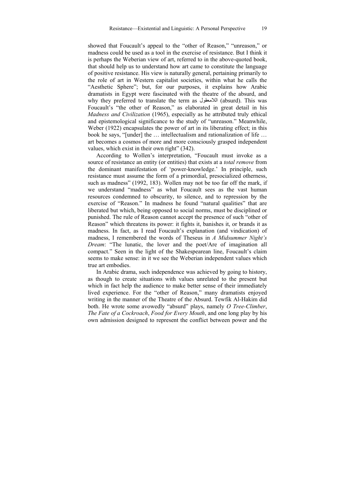showed that Foucault's appeal to the "other of Reason," "unreason," or madness could be used as a tool in the exercise of resistance. But I think it is perhaps the Weberian view of art, referred to in the above-quoted book, that should help us to understand how art came to constitute the language of positive resistance. His view is naturally general, pertaining primarily to the role of art in Western capitalist societies, within what he calls the "Aesthetic Sphere"; but, for our purposes, it explains how Arabic dramatists in Egypt were fascinated with the theatre of the absurd, and why they preferred to translate the term as الالمعقول) absurd). This was Foucault's "the other of Reason," as elaborated in great detail in his *Madness and Civilization* (1965), especially as he attributed truly ethical and epistemological significance to the study of "unreason." Meanwhile, Weber (1922) encapsulates the power of art in its liberating effect; in this book he says, "[under] the … intellectualism and rationalization of life … art becomes a cosmos of more and more consciously grasped independent values, which exist in their own right" (342).

According to Wollen's interpretation, "Foucault must invoke as a source of resistance an entity (or entities) that exists at a *total remove* from the dominant manifestation of 'power-knowledge.' In principle, such resistance must assume the form of a primordial, presocialized otherness, such as madness" (1992, 183). Wollen may not be too far off the mark, if we understand "madness" as what Foucault sees as the vast human resources condemned to obscurity, to silence, and to repression by the exercise of "Reason." In madness he found "natural qualities" that are liberated but which, being opposed to social norms, must be disciplined or punished. The rule of Reason cannot accept the presence of such "other of Reason" which threatens its power: it fights it, banishes it, or brands it as madness. In fact, as I read Foucault's explanation (and vindication) of madness, I remembered the words of Theseus in *A Midsummer Night's Dream*: "The lunatic, the lover and the poet/Are of imagination all compact." Seen in the light of the Shakespearean line, Foucault's claim seems to make sense: in it we see the Weberian independent values which true art embodies.

In Arabic drama, such independence was achieved by going to history, as though to create situations with values unrelated to the present but which in fact help the audience to make better sense of their immediately lived experience. For the "other of Reason," many dramatists enjoyed writing in the manner of the Theatre of the Absurd. Tewfik Al-Hakim did both. He wrote some avowedly "absurd" plays, namely *O Tree-Climber*, *The Fate of a Cockroach*, *Food for Every Mouth*, and one long play by his own admission designed to represent the conflict between power and the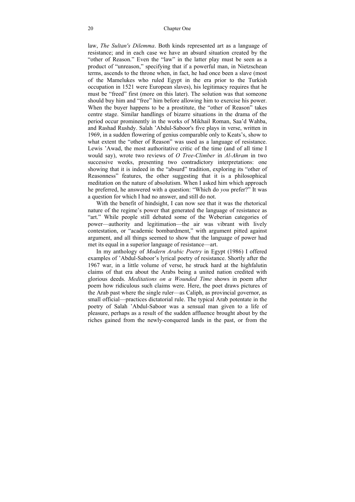law, *The Sultan's Dilemma*. Both kinds represented art as a language of resistance; and in each case we have an absurd situation created by the "other of Reason." Even the "law" in the latter play must be seen as a product of "unreason," specifying that if a powerful man, in Nietzschean terms, ascends to the throne when, in fact, he had once been a slave (most of the Mamelukes who ruled Egypt in the era prior to the Turkish occupation in 1521 were European slaves), his legitimacy requires that he must be "freed" first (more on this later). The solution was that someone should buy him and "free" him before allowing him to exercise his power. When the buyer happens to be a prostitute, the "other of Reason" takes centre stage. Similar handlings of bizarre situations in the drama of the period occur prominently in the works of Mikhail Roman, Saa'd Wahba, and Rashad Rushdy. Salah 'Abdul-Saboor's five plays in verse, written in 1969, in a sudden flowering of genius comparable only to Keats's, show to what extent the "other of Reason" was used as a language of resistance. Lewis 'Awad, the most authoritative critic of the time (and of all time I would say), wrote two reviews of *O Tree-Climber* in *Al-Ahram* in two successive weeks, presenting two contradictory interpretations: one showing that it is indeed in the "absurd" tradition, exploring its "other of Reasonness" features, the other suggesting that it is a philosophical meditation on the nature of absolutism. When I asked him which approach he preferred, he answered with a question: "Which do *you* prefer?" It was a question for which I had no answer, and still do not.

With the benefit of hindsight, I can now see that it was the rhetorical nature of the regime's power that generated the language of resistance as "art." While people still debated some of the Weberian categories of power—authority and legitimation—the air was vibrant with lively contestation, or "academic bombardment," with argument pitted against argument, and all things seemed to show that the language of power had met its equal in a superior language of resistance—art.

In my anthology of *Modern Arabic Poetry* in Egypt (1986) I offered examples of 'Abdul-Saboor's lyrical poetry of resistance. Shortly after the 1967 war, in a little volume of verse, he struck hard at the highfalutin claims of that era about the Arabs being a united nation credited with glorious deeds. *Meditations on a Wounded Time* shows in poem after poem how ridiculous such claims were. Here, the poet draws pictures of the Arab past where the single ruler—as Caliph, as provincial governor, as small official—practices dictatorial rule. The typical Arab potentate in the poetry of Salah 'Abdul-Saboor was a sensual man given to a life of pleasure, perhaps as a result of the sudden affluence brought about by the riches gained from the newly-conquered lands in the past, or from the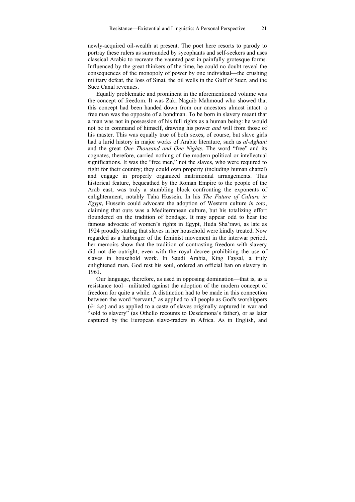newly-acquired oil-wealth at present. The poet here resorts to parody to portray these rulers as surrounded by sycophants and self-seekers and uses classical Arabic to recreate the vaunted past in painfully grotesque forms. Influenced by the great thinkers of the time, he could no doubt reveal the consequences of the monopoly of power by one individual—the crushing military defeat, the loss of Sinai, the oil wells in the Gulf of Suez, and the Suez Canal revenues.

Equally problematic and prominent in the aforementioned volume was the concept of freedom. It was Zaki Naguib Mahmoud who showed that this concept had been handed down from our ancestors almost intact: a free man was the opposite of a bondman. To be born in slavery meant that a man was not in possession of his full rights as a human being: he would not be in command of himself, drawing his power *and* will from those of his master. This was equally true of both sexes, of course, but slave girls had a lurid history in major works of Arabic literature, such as *al-Aghani* and the great *One Thousand and One Nights*. The word "free" and its cognates, therefore, carried nothing of the modern political or intellectual significations. It was the "free men," not the slaves, who were required to fight for their country; they could own property (including human chattel) and engage in properly organized matrimonial arrangements. This historical feature, bequeathed by the Roman Empire to the people of the Arab east, was truly a stumbling block confronting the exponents of enlightenment, notably Taha Hussein. In his *The Future of Culture in Egypt*, Hussein could advocate the adoption of Western culture *in toto*, claiming that ours was a Mediterranean culture, but his totalizing effort floundered on the tradition of bondage. It may appear odd to hear the famous advocate of women's rights in Egypt, Huda Sha'rawi, as late as 1924 proudly stating that slaves in her household were kindly treated. Now regarded as a harbinger of the feminist movement in the interwar period, her memoirs show that the tradition of contrasting freedom with slavery did not die outright, even with the royal decree prohibiting the use of slaves in household work. In Saudi Arabia, King Faysal, a truly enlightened man, God rest his soul, ordered an official ban on slavery in 1961.

Our language, therefore, as used in opposing domination—that is, as a resistance tool—militated against the adoption of the modern concept of freedom for quite a while. A distinction had to be made in this connection between the word "servant," as applied to all people as God's worshippers (الله عباد (and as applied to a caste of slaves originally captured in war and "sold to slavery" (as Othello recounts to Desdemona's father), or as later captured by the European slave-traders in Africa. As in English, and